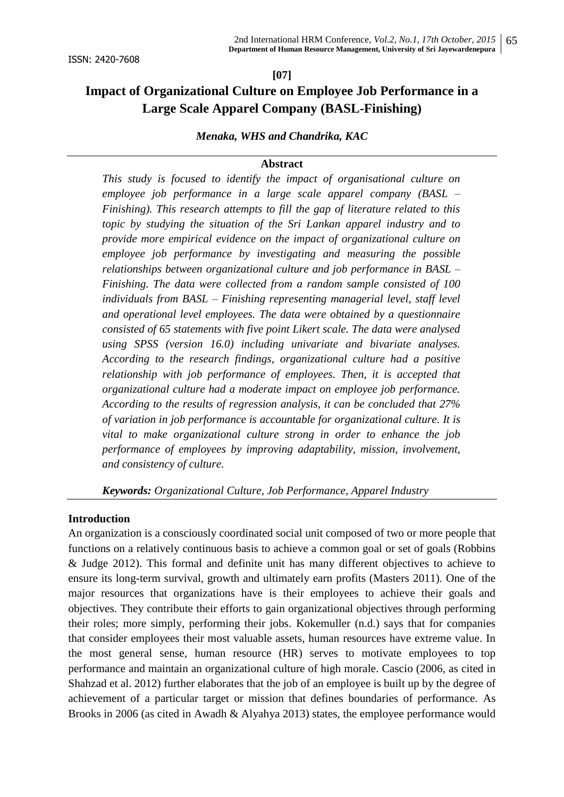#### **[07]**

# **Impact of Organizational Culture on Employee Job Performance in a Large Scale Apparel Company (BASL-Finishing)**

## *Menaka, WHS and Chandrika, KAC*

#### **Abstract**

*This study is focused to identify the impact of organisational culture on employee job performance in a large scale apparel company (BASL – Finishing). This research attempts to fill the gap of literature related to this topic by studying the situation of the Sri Lankan apparel industry and to provide more empirical evidence on the impact of organizational culture on employee job performance by investigating and measuring the possible relationships between organizational culture and job performance in BASL – Finishing. The data were collected from a random sample consisted of 100 individuals from BASL – Finishing representing managerial level, staff level and operational level employees. The data were obtained by a questionnaire consisted of 65 statements with five point Likert scale. The data were analysed using SPSS (version 16.0) including univariate and bivariate analyses. According to the research findings, organizational culture had a positive relationship with job performance of employees. Then, it is accepted that organizational culture had a moderate impact on employee job performance. According to the results of regression analysis, it can be concluded that 27% of variation in job performance is accountable for organizational culture. It is vital to make organizational culture strong in order to enhance the job performance of employees by improving adaptability, mission, involvement, and consistency of culture.*

*Keywords: Organizational Culture, Job Performance, Apparel Industry*

#### **Introduction**

An organization is a consciously coordinated social unit composed of two or more people that functions on a relatively continuous basis to achieve a common goal or set of goals (Robbins & Judge 2012). This formal and definite unit has many different objectives to achieve to ensure its long-term survival, growth and ultimately earn profits (Masters 2011). One of the major resources that organizations have is their employees to achieve their goals and objectives. They contribute their efforts to gain organizational objectives through performing their roles; more simply, performing their jobs. Kokemuller (n.d.) says that for companies that consider employees their most valuable assets, human resources have extreme value. In the most general sense, human resource (HR) serves to motivate employees to top performance and maintain an organizational culture of high morale. Cascio (2006, as cited in Shahzad et al. 2012) further elaborates that the job of an employee is built up by the degree of achievement of a particular target or mission that defines boundaries of performance. As Brooks in 2006 (as cited in Awadh & Alyahya 2013) states, the employee performance would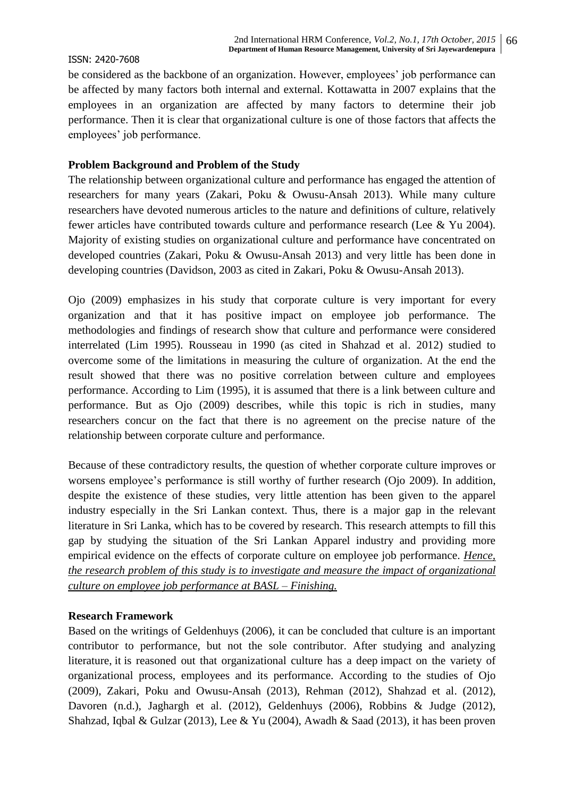be considered as the backbone of an organization. However, employees' job performance can be affected by many factors both internal and external. Kottawatta in 2007 explains that the employees in an organization are affected by many factors to determine their job performance. Then it is clear that organizational culture is one of those factors that affects the employees' job performance.

# **Problem Background and Problem of the Study**

The relationship between organizational culture and performance has engaged the attention of researchers for many years (Zakari, Poku & Owusu-Ansah 2013). While many culture researchers have devoted numerous articles to the nature and definitions of culture, relatively fewer articles have contributed towards culture and performance research (Lee & Yu 2004). Majority of existing studies on organizational culture and performance have concentrated on developed countries (Zakari, Poku & Owusu-Ansah 2013) and very little has been done in developing countries (Davidson, 2003 as cited in Zakari, Poku & Owusu-Ansah 2013).

Ojo (2009) emphasizes in his study that corporate culture is very important for every organization and that it has positive impact on employee job performance. The methodologies and findings of research show that culture and performance were considered interrelated (Lim 1995). Rousseau in 1990 (as cited in Shahzad et al. 2012) studied to overcome some of the limitations in measuring the culture of organization. At the end the result showed that there was no positive correlation between culture and employees performance. According to Lim (1995), it is assumed that there is a link between culture and performance. But as Ojo (2009) describes, while this topic is rich in studies, many researchers concur on the fact that there is no agreement on the precise nature of the relationship between corporate culture and performance.

Because of these contradictory results, the question of whether corporate culture improves or worsens employee's performance is still worthy of further research (Ojo 2009). In addition, despite the existence of these studies, very little attention has been given to the apparel industry especially in the Sri Lankan context. Thus, there is a major gap in the relevant literature in Sri Lanka, which has to be covered by research. This research attempts to fill this gap by studying the situation of the Sri Lankan Apparel industry and providing more empirical evidence on the effects of corporate culture on employee job performance. *Hence, the research problem of this study is to investigate and measure the impact of organizational culture on employee job performance at BASL – Finishing.*

## **Research Framework**

Based on the writings of Geldenhuys (2006), it can be concluded that culture is an important contributor to performance, but not the sole contributor. After studying and analyzing literature, it is reasoned out that organizational culture has a deep impact on the variety of organizational process, employees and its performance. According to the studies of Ojo (2009), Zakari, Poku and Owusu-Ansah (2013), Rehman (2012), Shahzad et al. (2012), Davoren (n.d.), Jaghargh et al. (2012), Geldenhuys (2006), Robbins & Judge (2012), Shahzad, Iqbal & Gulzar (2013), Lee & Yu (2004), Awadh & Saad (2013), it has been proven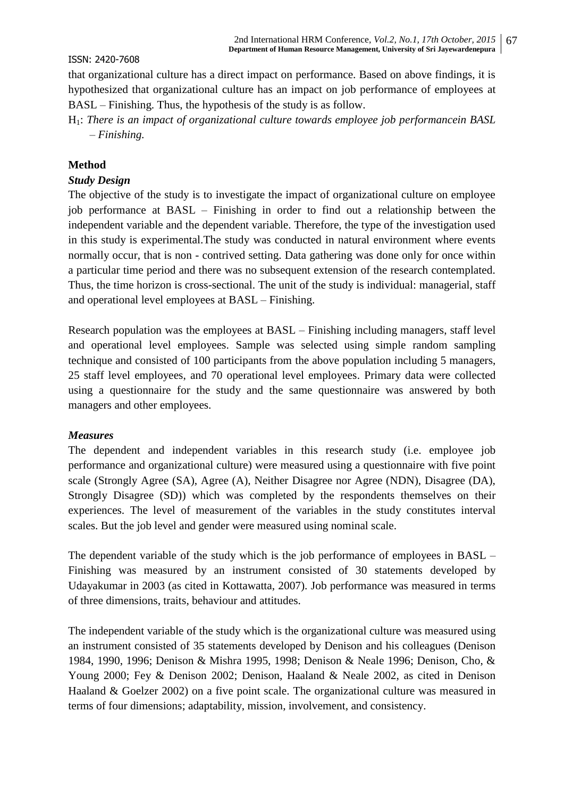that organizational culture has a direct impact on performance. Based on above findings, it is hypothesized that organizational culture has an impact on job performance of employees at BASL – Finishing. Thus, the hypothesis of the study is as follow.

H1: *There is an impact of organizational culture towards employee job performancein BASL – Finishing.*

## **Method**

#### *Study Design*

The objective of the study is to investigate the impact of organizational culture on employee job performance at BASL – Finishing in order to find out a relationship between the independent variable and the dependent variable. Therefore, the type of the investigation used in this study is experimental.The study was conducted in natural environment where events normally occur, that is non - contrived setting. Data gathering was done only for once within a particular time period and there was no subsequent extension of the research contemplated. Thus, the time horizon is cross-sectional. The unit of the study is individual: managerial, staff and operational level employees at BASL – Finishing.

Research population was the employees at BASL – Finishing including managers, staff level and operational level employees. Sample was selected using simple random sampling technique and consisted of 100 participants from the above population including 5 managers, 25 staff level employees, and 70 operational level employees. Primary data were collected using a questionnaire for the study and the same questionnaire was answered by both managers and other employees.

#### *Measures*

The dependent and independent variables in this research study (i.e. employee job performance and organizational culture) were measured using a questionnaire with five point scale (Strongly Agree (SA), Agree (A), Neither Disagree nor Agree (NDN), Disagree (DA), Strongly Disagree (SD)) which was completed by the respondents themselves on their experiences. The level of measurement of the variables in the study constitutes interval scales. But the job level and gender were measured using nominal scale.

The dependent variable of the study which is the job performance of employees in BASL – Finishing was measured by an instrument consisted of 30 statements developed by Udayakumar in 2003 (as cited in Kottawatta, 2007). Job performance was measured in terms of three dimensions, traits, behaviour and attitudes.

The independent variable of the study which is the organizational culture was measured using an instrument consisted of 35 statements developed by Denison and his colleagues (Denison 1984, 1990, 1996; Denison & Mishra 1995, 1998; Denison & Neale 1996; Denison, Cho, & Young 2000; Fey & Denison 2002; Denison, Haaland & Neale 2002, as cited in Denison Haaland & Goelzer 2002) on a five point scale. The organizational culture was measured in terms of four dimensions; adaptability, mission, involvement, and consistency.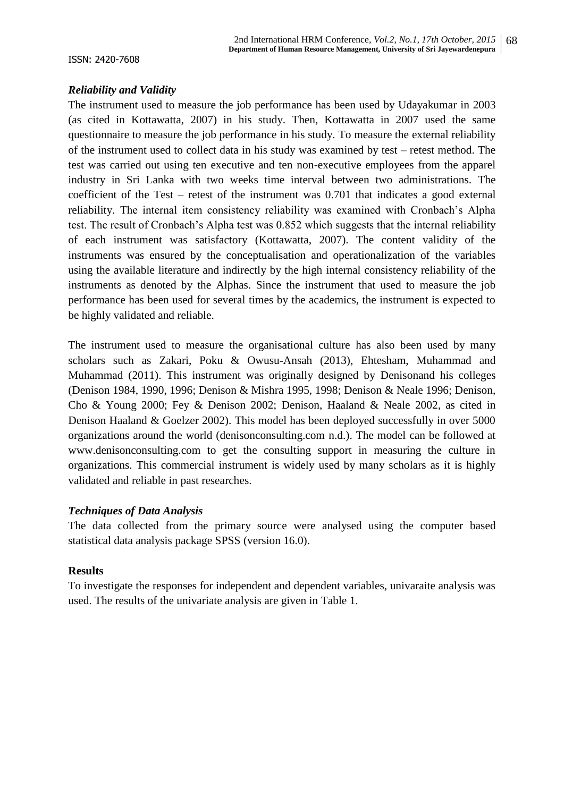## *Reliability and Validity*

The instrument used to measure the job performance has been used by Udayakumar in 2003 (as cited in Kottawatta, 2007) in his study. Then, Kottawatta in 2007 used the same questionnaire to measure the job performance in his study. To measure the external reliability of the instrument used to collect data in his study was examined by test – retest method. The test was carried out using ten executive and ten non-executive employees from the apparel industry in Sri Lanka with two weeks time interval between two administrations. The coefficient of the Test – retest of the instrument was 0.701 that indicates a good external reliability. The internal item consistency reliability was examined with Cronbach's Alpha test. The result of Cronbach's Alpha test was 0.852 which suggests that the internal reliability of each instrument was satisfactory (Kottawatta, 2007). The content validity of the instruments was ensured by the conceptualisation and operationalization of the variables using the available literature and indirectly by the high internal consistency reliability of the instruments as denoted by the Alphas. Since the instrument that used to measure the job performance has been used for several times by the academics, the instrument is expected to be highly validated and reliable.

The instrument used to measure the organisational culture has also been used by many scholars such as Zakari, Poku & Owusu-Ansah (2013), Ehtesham, Muhammad and Muhammad (2011). This instrument was originally designed by Denisonand his colleges (Denison 1984, 1990, 1996; Denison & Mishra 1995, 1998; Denison & Neale 1996; Denison, Cho & Young 2000; Fey & Denison 2002; Denison, Haaland & Neale 2002, as cited in Denison Haaland & Goelzer 2002). This model has been deployed successfully in over 5000 organizations around the world (denisonconsulting.com n.d.). The model can be followed at www.denisonconsulting.com to get the consulting support in measuring the culture in organizations. This commercial instrument is widely used by many scholars as it is highly validated and reliable in past researches.

# *Techniques of Data Analysis*

The data collected from the primary source were analysed using the computer based statistical data analysis package SPSS (version 16.0).

# **Results**

To investigate the responses for independent and dependent variables, univaraite analysis was used. The results of the univariate analysis are given in Table 1.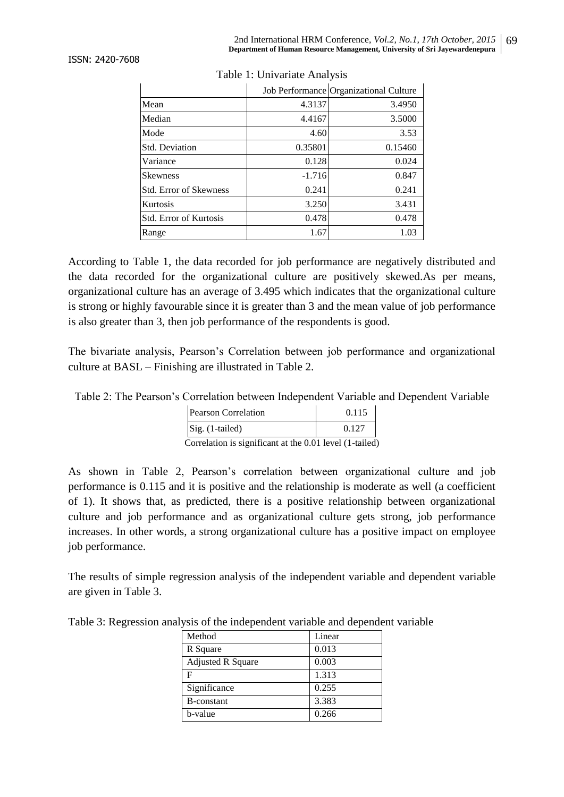|                               |          | Job Performance Organizational Culture |
|-------------------------------|----------|----------------------------------------|
| Mean                          | 4.3137   | 3.4950                                 |
| Median                        | 4.4167   | 3.5000                                 |
| Mode                          | 4.60     | 3.53                                   |
| <b>Std. Deviation</b>         | 0.35801  | 0.15460                                |
| Variance                      | 0.128    | 0.024                                  |
| <b>Skewness</b>               | $-1.716$ | 0.847                                  |
| <b>Std. Error of Skewness</b> | 0.241    | 0.241                                  |
| Kurtosis                      | 3.250    | 3.431                                  |
| Std. Error of Kurtosis        | 0.478    | 0.478                                  |
| Range                         | 1.67     | 1.03                                   |

Table 1: Univariate Analysis

According to Table 1, the data recorded for job performance are negatively distributed and the data recorded for the organizational culture are positively skewed.As per means, organizational culture has an average of 3.495 which indicates that the organizational culture is strong or highly favourable since it is greater than 3 and the mean value of job performance is also greater than 3, then job performance of the respondents is good.

The bivariate analysis, Pearson's Correlation between job performance and organizational culture at BASL – Finishing are illustrated in Table 2.

Table 2: The Pearson's Correlation between Independent Variable and Dependent Variable

| Pearson Correlation                                            | 0.115 |
|----------------------------------------------------------------|-------|
| Sig. (1-tailed)                                                | 0.127 |
| Correlation is significant at the $0.01$ lavel $(1 \text{ to}$ |       |

Correlation is significant at the  $0.01$  level  $(1-taile$ 

As shown in Table 2, Pearson's correlation between organizational culture and job performance is 0.115 and it is positive and the relationship is moderate as well (a coefficient of 1). It shows that, as predicted, there is a positive relationship between organizational culture and job performance and as organizational culture gets strong, job performance increases. In other words, a strong organizational culture has a positive impact on employee job performance.

The results of simple regression analysis of the independent variable and dependent variable are given in Table 3.

Table 3: Regression analysis of the independent variable and dependent variable

| Method                   | Linear |
|--------------------------|--------|
| R Square                 | 0.013  |
| <b>Adjusted R Square</b> | 0.003  |
| F                        | 1.313  |
| Significance             | 0.255  |
| B-constant               | 3.383  |
| b-value                  | 0.266  |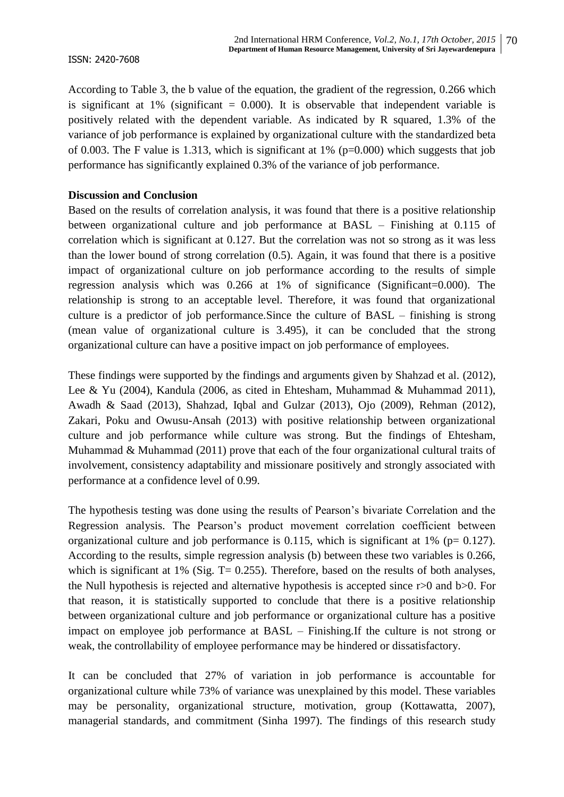According to Table 3, the b value of the equation, the gradient of the regression, 0.266 which is significant at 1% (significant  $= 0.000$ ). It is observable that independent variable is positively related with the dependent variable. As indicated by R squared, 1.3% of the variance of job performance is explained by organizational culture with the standardized beta of 0.003. The F value is 1.313, which is significant at 1% (p=0.000) which suggests that job performance has significantly explained 0.3% of the variance of job performance.

#### **Discussion and Conclusion**

Based on the results of correlation analysis, it was found that there is a positive relationship between organizational culture and job performance at BASL – Finishing at 0.115 of correlation which is significant at 0.127. But the correlation was not so strong as it was less than the lower bound of strong correlation (0.5). Again, it was found that there is a positive impact of organizational culture on job performance according to the results of simple regression analysis which was 0.266 at 1% of significance (Significant=0.000). The relationship is strong to an acceptable level. Therefore, it was found that organizational culture is a predictor of job performance.Since the culture of BASL – finishing is strong (mean value of organizational culture is 3.495), it can be concluded that the strong organizational culture can have a positive impact on job performance of employees.

These findings were supported by the findings and arguments given by Shahzad et al. (2012), Lee & Yu (2004), Kandula (2006, as cited in Ehtesham, Muhammad & Muhammad 2011), Awadh & Saad (2013), Shahzad, Iqbal and Gulzar (2013), Ojo (2009), Rehman (2012), Zakari, Poku and Owusu-Ansah (2013) with positive relationship between organizational culture and job performance while culture was strong. But the findings of Ehtesham, Muhammad & Muhammad (2011) prove that each of the four organizational cultural traits of involvement, consistency adaptability and missionare positively and strongly associated with performance at a confidence level of 0.99.

The hypothesis testing was done using the results of Pearson's bivariate Correlation and the Regression analysis. The Pearson's product movement correlation coefficient between organizational culture and job performance is 0.115, which is significant at 1% ( $p= 0.127$ ). According to the results, simple regression analysis (b) between these two variables is 0.266, which is significant at 1% (Sig.  $T = 0.255$ ). Therefore, based on the results of both analyses, the Null hypothesis is rejected and alternative hypothesis is accepted since r>0 and b>0. For that reason, it is statistically supported to conclude that there is a positive relationship between organizational culture and job performance or organizational culture has a positive impact on employee job performance at BASL – Finishing.If the culture is not strong or weak, the controllability of employee performance may be hindered or dissatisfactory.

It can be concluded that 27% of variation in job performance is accountable for organizational culture while 73% of variance was unexplained by this model. These variables may be personality, organizational structure, motivation, group (Kottawatta, 2007), managerial standards, and commitment (Sinha 1997). The findings of this research study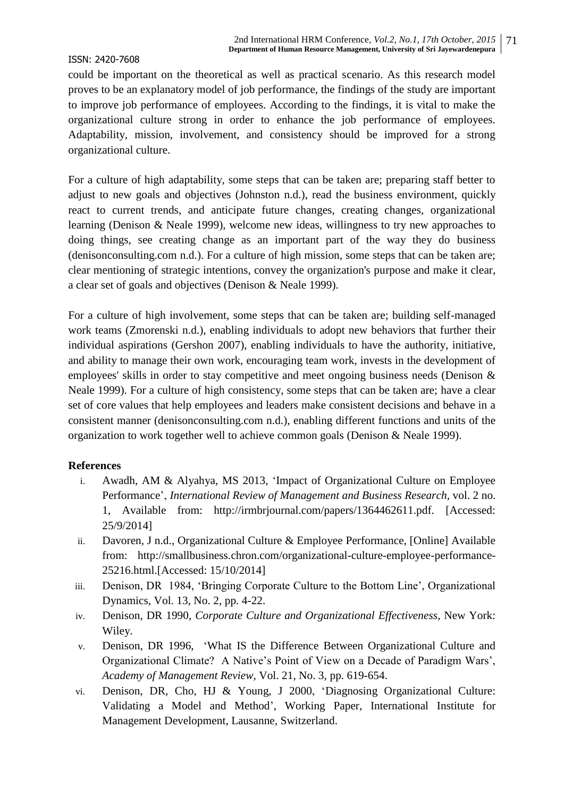could be important on the theoretical as well as practical scenario. As this research model proves to be an explanatory model of job performance, the findings of the study are important to improve job performance of employees. According to the findings, it is vital to make the organizational culture strong in order to enhance the job performance of employees. Adaptability, mission, involvement, and consistency should be improved for a strong organizational culture.

For a culture of high adaptability, some steps that can be taken are; preparing staff better to adjust to new goals and objectives (Johnston n.d.), read the business environment, quickly react to current trends, and anticipate future changes, creating changes, organizational learning (Denison & Neale 1999), welcome new ideas, willingness to try new approaches to doing things, see creating change as an important part of the way they do business (denisonconsulting.com n.d.). For a culture of high mission, some steps that can be taken are; clear mentioning of strategic intentions, convey the organization's purpose and make it clear, a clear set of goals and objectives (Denison & Neale 1999).

For a culture of high involvement, some steps that can be taken are; building self-managed work teams (Zmorenski n.d.), enabling individuals to adopt new behaviors that further their individual aspirations (Gershon 2007), enabling individuals to have the authority, initiative, and ability to manage their own work, encouraging team work, invests in the development of employees' skills in order to stay competitive and meet ongoing business needs (Denison & Neale 1999). For a culture of high consistency, some steps that can be taken are; have a clear set of core values that help employees and leaders make consistent decisions and behave in a consistent manner (denisonconsulting.com n.d.), enabling different functions and units of the organization to work together well to achieve common goals (Denison & Neale 1999).

#### **References**

- i. Awadh, AM & Alyahya, MS 2013, 'Impact of Organizational Culture on Employee Performance', *International Review of Management and Business Research,* vol. 2 no. 1, Available from: http://irmbrjournal.com/papers/1364462611.pdf. [Accessed: 25/9/2014]
- ii. Davoren, J n.d., Organizational Culture & Employee Performance, [Online] Available from: http://smallbusiness.chron.com/organizational-culture-employee-performance-25216.html.[Accessed: 15/10/2014]
- iii. Denison, DR 1984, 'Bringing Corporate Culture to the Bottom Line', Organizational Dynamics, Vol. 13, No. 2, pp. 4-22.
- iv. Denison, DR 1990, *Corporate Culture and Organizational Effectiveness*, New York: Wiley.
- v. Denison, DR 1996, 'What IS the Difference Between Organizational Culture and Organizational Climate? A Native's Point of View on a Decade of Paradigm Wars', *Academy of Management Review*, Vol. 21, No. 3, pp. 619-654.
- vi. Denison, DR, Cho, HJ & Young, J 2000, 'Diagnosing Organizational Culture: Validating a Model and Method', Working Paper, International Institute for Management Development, Lausanne, Switzerland.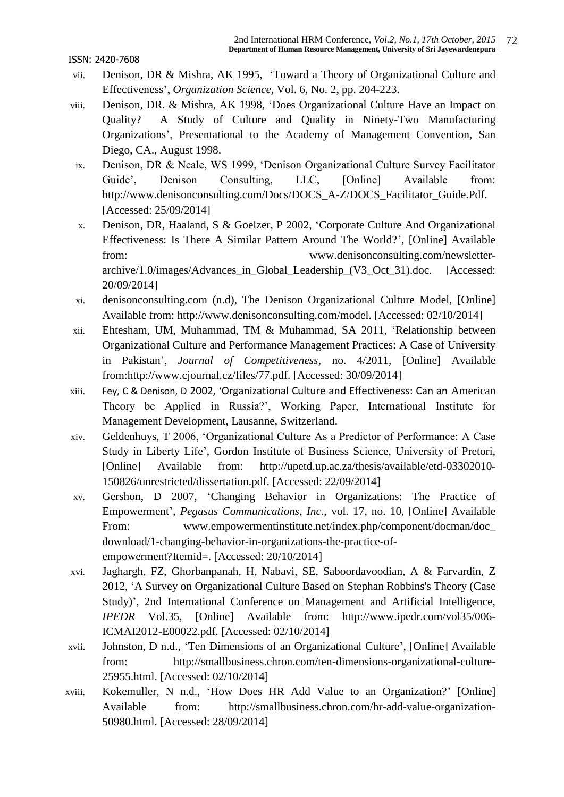- vii. Denison, DR & Mishra, AK 1995, 'Toward a Theory of Organizational Culture and Effectiveness', *Organization Science*, Vol. 6, No. 2, pp. 204-223.
- viii. Denison, DR. & Mishra, AK 1998, 'Does Organizational Culture Have an Impact on Quality? A Study of Culture and Quality in Ninety-Two Manufacturing Organizations', Presentational to the Academy of Management Convention, San Diego, CA., August 1998.
- ix. Denison, DR & Neale, WS 1999, 'Denison Organizational Culture Survey Facilitator Guide', Denison Consulting, LLC, [Online] Available from: http://www.denisonconsulting.com/Docs/DOCS\_A-Z/DOCS\_Facilitator\_Guide.Pdf. [Accessed: 25/09/2014]
- x. Denison, DR, Haaland, S & Goelzer, P 2002, 'Corporate Culture And Organizational Effectiveness: Is There A Similar Pattern Around The World?', [Online] Available from: www.denisonconsulting.com/newsletterarchive/1.0/images/Advances\_in\_Global\_Leadership\_(V3\_Oct\_31).doc. [Accessed: 20/09/2014]
- xi. denisonconsulting.com (n.d), The Denison Organizational Culture Model, [Online] Available from: http://www.denisonconsulting.com/model. [Accessed: 02/10/2014]
- xii. Ehtesham, UM, Muhammad, TM & Muhammad, SA 2011, 'Relationship between Organizational Culture and Performance Management Practices: A Case of University in Pakistan', *Journal of Competitiveness*, no. 4/2011, [Online] Available from:http://www.cjournal.cz/files/77.pdf. [Accessed: 30/09/2014]
- xiii. Fey, C & Denison, D 2002, 'Organizational Culture and Effectiveness: Can an American Theory be Applied in Russia?', Working Paper, International Institute for Management Development, Lausanne, Switzerland.
- xiv. Geldenhuys, T 2006, 'Organizational Culture As a Predictor of Performance: A Case Study in Liberty Life', Gordon Institute of Business Science, University of Pretori, [Online] Available from: http://upetd.up.ac.za/thesis/available/etd-03302010- 150826/unrestricted/dissertation.pdf. [Accessed: 22/09/2014]
- xv. Gershon, D 2007, 'Changing Behavior in Organizations: The Practice of Empowerment', *Pegasus Communications, Inc*., vol. 17, no. 10, [Online] Available From: www.empowermentinstitute.net/index.php/component/docman/doc\_ download/1-changing-behavior-in-organizations-the-practice-ofempowerment?Itemid=. [Accessed: 20/10/2014]
- xvi. Jaghargh, FZ, Ghorbanpanah, H, Nabavi, SE, Saboordavoodian, A & Farvardin, Z 2012, 'A Survey on Organizational Culture Based on Stephan Robbins's Theory (Case Study)', 2nd International Conference on Management and Artificial Intelligence, *IPEDR* Vol.35, [Online] Available from: http://www.ipedr.com/vol35/006- ICMAI2012-E00022.pdf. [Accessed: 02/10/2014]
- xvii. Johnston, D n.d., 'Ten Dimensions of an Organizational Culture', [Online] Available from: http://smallbusiness.chron.com/ten-dimensions-organizational-culture-25955.html. [Accessed: 02/10/2014]
- xviii. Kokemuller, N n.d., 'How Does HR Add Value to an Organization?' [Online] Available from: http://smallbusiness.chron.com/hr-add-value-organization-50980.html. [Accessed: 28/09/2014]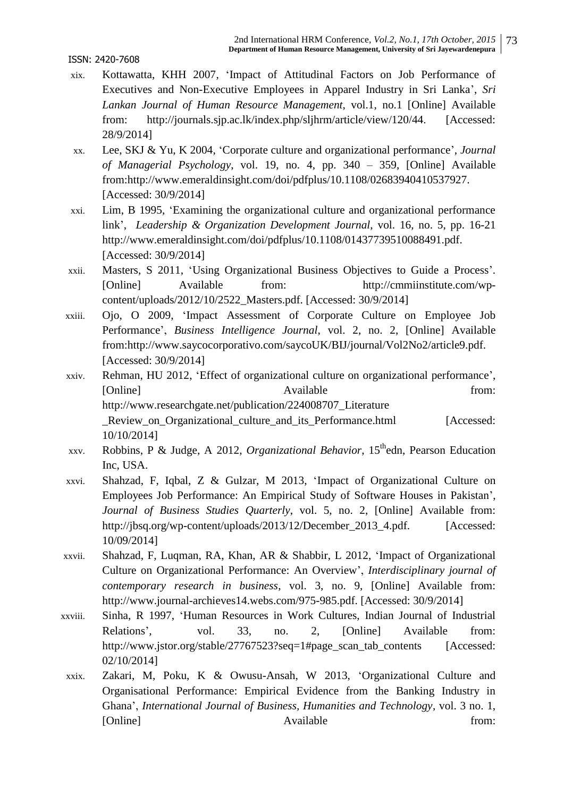- xix. Kottawatta, KHH 2007, 'Impact of Attitudinal Factors on Job Performance of Executives and Non-Executive Employees in Apparel Industry in Sri Lanka', *Sri Lankan Journal of Human Resource Management*, vol.1, no.1 [Online] Available from: http://journals.sjp.ac.lk/index.php/sljhrm/article/view/120/44. [Accessed: 28/9/2014]
- xx. Lee, SKJ & Yu, K 2004, 'Corporate culture and organizational performance', *Journal of Managerial Psychology*, vol. 19, no. 4, pp. 340 – 359, [Online] Available from:http://www.emeraldinsight.com/doi/pdfplus/10.1108/02683940410537927. [Accessed: 30/9/2014]
- xxi. Lim, B 1995, 'Examining the organizational culture and organizational performance link', *Leadership & Organization Development Journal*, vol. 16, no. 5, pp. 16-21 http://www.emeraldinsight.com/doi/pdfplus/10.1108/01437739510088491.pdf. [Accessed: 30/9/2014]
- xxii. Masters, S 2011, 'Using Organizational Business Objectives to Guide a Process'. [Online] Available from: http://cmmiinstitute.com/wpcontent/uploads/2012/10/2522\_Masters.pdf. [Accessed: 30/9/2014]
- xxiii. Ojo, O 2009, 'Impact Assessment of Corporate Culture on Employee Job Performance', *Business Intelligence Journal*, vol. 2, no. 2, [Online] Available from:http://www.saycocorporativo.com/saycoUK/BIJ/journal/Vol2No2/article9.pdf. [Accessed: 30/9/2014]
- xxiv. Rehman, HU 2012, 'Effect of organizational culture on organizational performance', [Online] Available from: http://www.researchgate.net/publication/224008707\_Literature Review on Organizational culture and its Performance.html [Accessed: 10/10/2014]
- xxv. Robbins, P & Judge, A 2012, *Organizational Behavior*, 15thedn, Pearson Education Inc, USA.
- xxvi. Shahzad, F, Iqbal, Z & Gulzar, M 2013, 'Impact of Organizational Culture on Employees Job Performance: An Empirical Study of Software Houses in Pakistan', *Journal of Business Studies Quarterly*, vol. 5, no. 2, [Online] Available from: http://jbsq.org/wp-content/uploads/2013/12/December\_2013\_4.pdf. [Accessed: 10/09/2014]
- xxvii. Shahzad, F, Luqman, RA, Khan, AR & Shabbir, L 2012, 'Impact of Organizational Culture on Organizational Performance: An Overview', *Interdisciplinary journal of contemporary research in business*, vol. 3, no. 9, [Online] Available from: http://www.journal-archieves14.webs.com/975-985.pdf. [Accessed: 30/9/2014]
- xxviii. Sinha, R 1997, 'Human Resources in Work Cultures, Indian Journal of Industrial Relations', vol. 33, no. 2, [Online] Available from: http://www.jstor.org/stable/27767523?seq=1#page\_scan\_tab\_contents [Accessed: 02/10/2014]
- xxix. Zakari, M, Poku, K & Owusu-Ansah, W 2013, 'Organizational Culture and Organisational Performance: Empirical Evidence from the Banking Industry in Ghana', *International Journal of Business, Humanities and Technology*, vol. 3 no. 1, [Online] Available from: